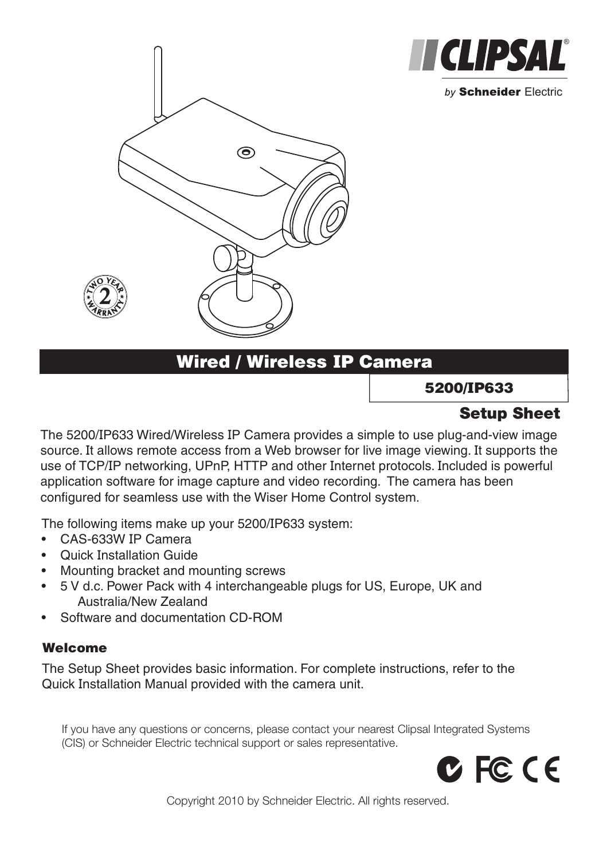

by Schneider Flectric



# Wired / Wireless IP Camera

5200/IP633

## Setup Sheet

The 5200/IP633 Wired/Wireless IP Camera provides a simple to use plug-and-view image source. It allows remote access from a Web browser for live image viewing. It supports the use of TCP/IP networking, UPnP, HTTP and other Internet protocols. Included is powerful application software for image capture and video recording. The camera has been configured for seamless use with the Wiser Home Control system.

The following items make up your 5200/IP633 system:

- CAS-633W IP Camera
- Quick Installation Guide
- Mounting bracket and mounting screws
- 5 V d.c. Power Pack with 4 interchangeable plugs for US, Europe, UK and Australia/New Zealand
- Software and documentation CD-ROM

#### Welcome

The Setup Sheet provides basic information. For complete instructions, refer to the Quick Installation Manual provided with the camera unit.

If you have any questions or concerns, please contact your nearest Clipsal Integrated Systems (CIS) or Schneider Electric technical support or sales representative.



Copyright 2010 by Schneider Electric. All rights reserved.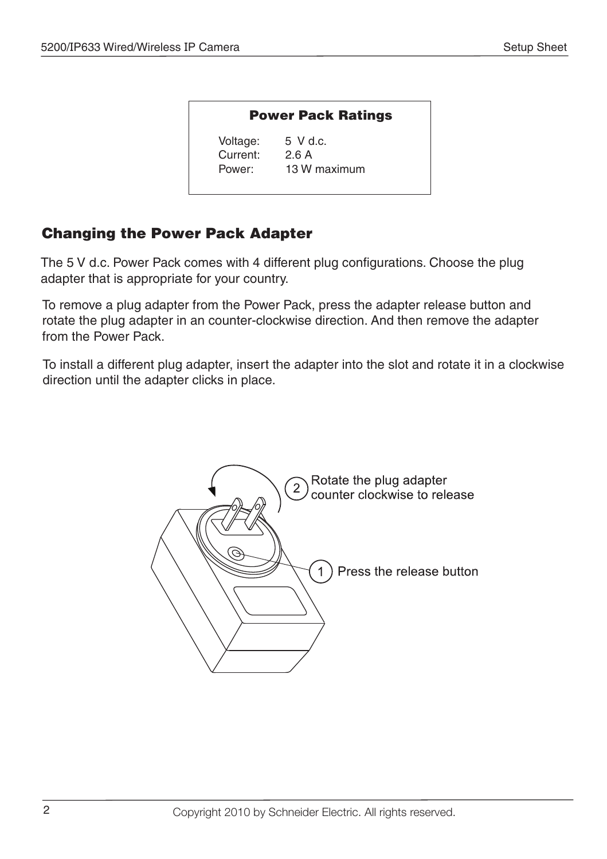Voltage: 5 V d.c. Current: 2.6 A Power: 13 W maximum

#### Changing the Power Pack Adapter

The 5 V d.c. Power Pack comes with 4 different plug configurations. Choose the plug adapter that is appropriate for your country.

To remove a plug adapter from the Power Pack, press the adapter release button and rotate the plug adapter in an counter-clockwise direction. And then remove the adapter from the Power Pack

To install a different plug adapter, insert the adapter into the slot and rotate it in a clockwise direction until the adapter clicks in place.

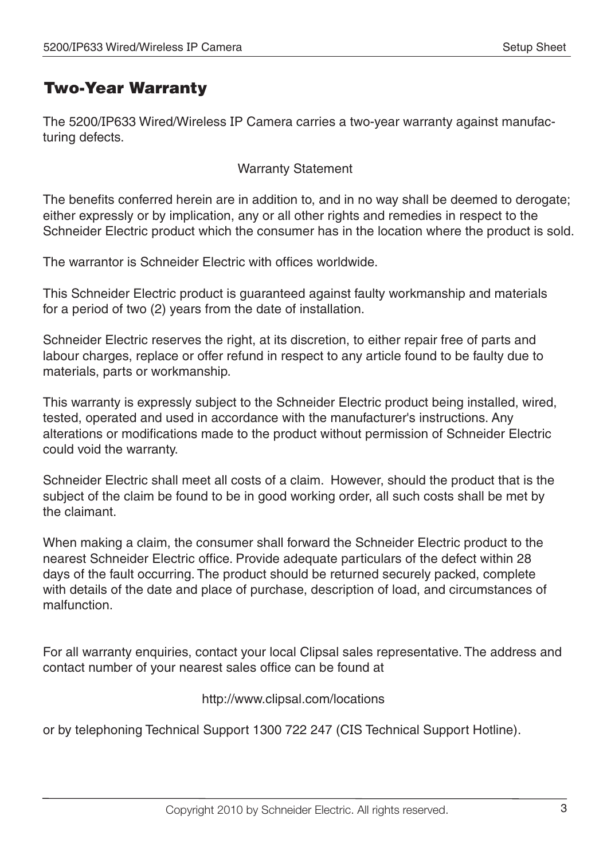### Two-Year Warranty

The 5200/IP633 Wired/Wireless IP Camera carries a two-year warranty against manufacturing defects.

Warranty Statement

The benefits conferred herein are in addition to, and in no way shall be deemed to derogate; either expressly or by implication, any or all other rights and remedies in respect to the Schneider Electric product which the consumer has in the location where the product is sold.

The warrantor is Schneider Electric with offices worldwide.

This Schneider Electric product is guaranteed against faulty workmanship and materials for a period of two (2) years from the date of installation.

Schneider Electric reserves the right, at its discretion, to either repair free of parts and labour charges, replace or offer refund in respect to any article found to be faulty due to materials, parts or workmanship.

This warranty is expressly subject to the Schneider Electric product being installed, wired, tested, operated and used in accordance with the manufacturer's instructions. Any alterations or modifications made to the product without permission of Schneider Electric could void the warranty.

Schneider Electric shall meet all costs of a claim. However, should the product that is the subject of the claim be found to be in good working order, all such costs shall be met by the claimant.

When making a claim, the consumer shall forward the Schneider Electric product to the nearest Schneider Electric office. Provide adequate particulars of the defect within 28 days of the fault occurring. The product should be returned securely packed, complete with details of the date and place of purchase, description of load, and circumstances of malfunction.

For all warranty enquiries, contact your local Clipsal sales representative. The address and contact number of your nearest sales office can be found at

http://www.clipsal.com/locations

or by telephoning Technical Support 1300 722 247 (CIS Technical Support Hotline).